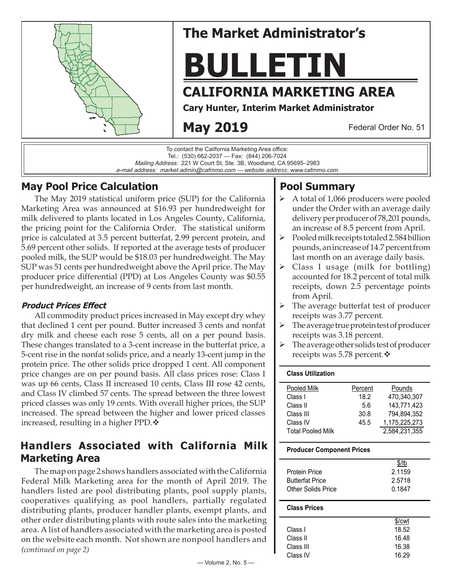

# **The Market Administrator's**

**BULLETIN**

# **CALIFORNIA MARKETING AREA**

**Cary Hunter, Interim Market Administrator**

# **May 2019**

Federal Order No. 51

To contact the California Marketing Area office: Tel.: (530) 662-2037 — Fax: (844) 206-7024 Mailing Address: 221 W Court St, Ste. 3B, Woodland, CA 95695–2983 e-mail address: market.admin@cafmmo.com — *website address*: www.cafmmo.com

# **May Pool Price Calculation**

The May 2019 statistical uniform price (SUP) for the California Marketing Area was announced at \$16.93 per hundredweight for milk delivered to plants located in Los Angeles County, California, the pricing point for the California Order. The statistical uniform price is calculated at 3.5 percent butterfat, 2.99 percent protein, and 5.69 percent other solids. If reported at the average tests of producer pooled milk, the SUP would be \$18.03 per hundredweight. The May SUP was 51 cents per hundredweight above the April price. The May producer price differential (PPD) at Los Angeles County was \$0.55 per hundredweight, an increase of 9 cents from last month.

## **Product Prices Effect**

All commodity product prices increased in May except dry whey that declined 1 cent per pound. Butter increased 3 cents and nonfat dry milk and cheese each rose 5 cents, all on a per pound basis. These changes translated to a 3-cent increase in the butterfat price, a 5-cent rise in the nonfat solids price, and a nearly 13-cent jump in the protein price. The other solids price dropped 1 cent. All component price changes are on per pound basis. All class prices rose: Class I was up 66 cents, Class II increased 10 cents, Class III rose 42 cents, and Class IV climbed 57 cents. The spread between the three lowest priced classes was only 19 cents. With overall higher prices, the SUP increased. The spread between the higher and lower priced classes increased, resulting in a higher PPD. $\triangle$ 

# **Handlers Associated with California Milk Marketing Area**

*(continued on page 2)* The map on page 2 shows handlers associated with the California Federal Milk Marketing area for the month of April 2019. The handlers listed are pool distributing plants, pool supply plants, cooperatives qualifying as pool handlers, partially regulated distributing plants, producer handler plants, exempt plants, and other order distributing plants with route sales into the marketing area. A list of handlers associated with the marketing area is posted on the website each month. Not shown are nonpool handlers and

# **Pool Summary**

- A total of 1,066 producers were pooled under the Order with an average daily delivery per producer of 78,201 pounds, an increase of 8.5 percent from April.
- $\triangleright$  Pooled milk receipts totaled 2.584 billion pounds, an increase of 14.7 percent from last month on an average daily basis.
- $\triangleright$  Class I usage (milk for bottling) accounted for 18.2 percent of total milk receipts, down 2.5 percentage points from April.
- $\triangleright$  The average butterfat test of producer receipts was 3.77 percent.
- $\triangleright$  The average true protein test of producer receipts was 3.18 percent.
- $\triangleright$  The average other solids test of producer receipts was 5.78 percent. ❖

### **Class Utilization**

| Pooled Milk              | Percent | Pounds        |
|--------------------------|---------|---------------|
| Class I                  | 18.2    | 470.340.307   |
| Class II                 | 5.6     | 143.771.423   |
| Class III                | 30.8    | 794,894,352   |
| Class IV                 | 45.5    | 1,175,225,273 |
| <b>Total Pooled Milk</b> |         | 2,584,231,355 |

### **Producer Component Prices**

|                        | \$/lb  |
|------------------------|--------|
| Protein Price          | 2.1159 |
| <b>Butterfat Price</b> | 2.5718 |
| Other Solids Price     | 0.1847 |
|                        |        |

#### **Class Prices**

|           | \$/cwt |
|-----------|--------|
| Class I   | 18.52  |
| Class II  | 16.48  |
| Class III | 16.38  |
| Class IV  | 16.29  |
|           |        |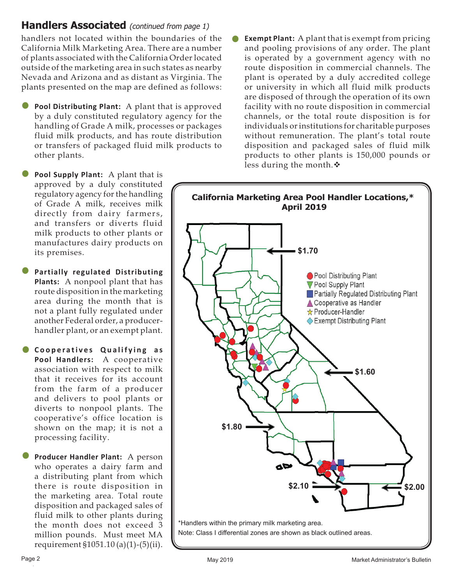# **Handlers Associated** (continued from page 1)

handlers not located within the boundaries of the California Milk Marketing Area. There are a number of plants associated with the California Order located outside of the marketing area in such states as nearby Nevada and Arizona and as distant as Virginia. The plants presented on the map are defined as follows:

- **Pool Distributing Plant:** A plant that is approved by a duly constituted regulatory agency for the by a duly constituted regulatory agency for the handling of Grade A milk, processes or packages fluid milk products, and has route distribution or transfers of packaged fluid milk products to other plants.
- **Pool Supply Plant:** A plant that is approved by a duly constituted regulatory agency for the handling of Grade A milk, receives milk directly from dairy farmers, and transfers or diverts fluid milk products to other plants or manufactures dairy products on its premises. •
- **Partially regulated Distributing Plants:** A nonpool plant that has route disposition in the marketing area during the month that is not a plant fully regulated under another Federal order, a producerhandler plant, or an exempt plant. •
- **Cooperatives Qualifying as**<br>Pool Handlers: A cooperative **Pool Handlers:** A cooperative association with respect to milk that it receives for its account from the farm of a producer and delivers to pool plants or diverts to nonpool plants. The cooperative's office location is shown on the map; it is not a processing facility.
- **Producer Handler Plant:** A person who operates a dairy farm and a distributing plant from which there is route disposition in the marketing area. Total route disposition and packaged sales of fluid milk to other plants during the month does not exceed 3 million pounds. Must meet MA requirement §1051.10 (a)(1)-(5)(ii). •

 **Exempt Plant:** A plant that is exempt from pricing and pooling provisions of any order. The plant is operated by a government agency with no route disposition in commercial channels. The plant is operated by a duly accredited college or university in which all fluid milk products are disposed of through the operation of its own facility with no route disposition in commercial channels, or the total route disposition is for individuals or institutions for charitable purposes without remuneration. The plant's total route disposition and packaged sales of fluid milk products to other plants is 150,000 pounds or less during the month. $\cdot$ •

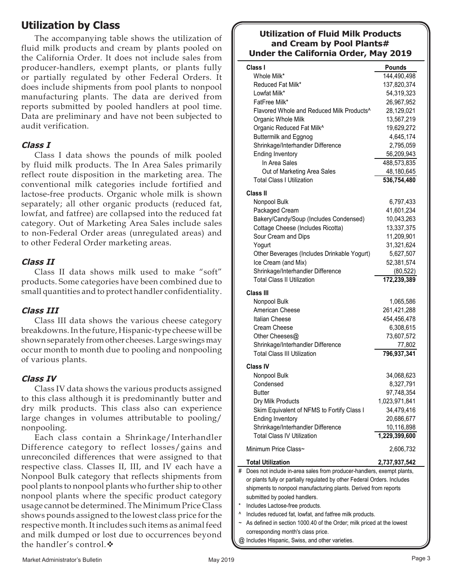# **Utilization by Class**

The accompanying table shows the utilization of fluid milk products and cream by plants pooled on the California Order. It does not include sales from producer-handlers, exempt plants, or plants fully or partially regulated by other Federal Orders. It does include shipments from pool plants to nonpool manufacturing plants. The data are derived from reports submitted by pooled handlers at pool time. Data are preliminary and have not been subjected to audit verification.

## **Class I**

Class I data shows the pounds of milk pooled by fluid milk products. The In Area Sales primarily reflect route disposition in the marketing area. The conventional milk categories include fortified and lactose-free products. Organic whole milk is shown separately; all other organic products (reduced fat, lowfat, and fatfree) are collapsed into the reduced fat category. Out of Marketing Area Sales include sales to non-Federal Order areas (unregulated areas) and to other Federal Order marketing areas.

### **Class II**

Class II data shows milk used to make "soft" products. Some categories have been combined due to small quantities and to protect handler confidentiality.

## **Class III**

Class III data shows the various cheese category breakdowns. In the future, Hispanic-type cheese will be shown separately from other cheeses. Large swings may occur month to month due to pooling and nonpooling of various plants.

### **Class IV**

Class IV data shows the various products assigned to this class although it is predominantly butter and dry milk products. This class also can experience large changes in volumes attributable to pooling/ nonpooling.

Each class contain a Shrinkage/Interhandler Difference category to reflect losses/gains and unreconciled differences that were assigned to that respective class. Classes II, III, and IV each have a Nonpool Bulk category that reflects shipments from pool plants to nonpool plants who further ship to other nonpool plants where the specific product category usage cannot be determined. The Minimum Price Class shows pounds assigned to the lowest class price for the respective month. It includes such items as animal feed and milk dumped or lost due to occurrences beyond the handler's control.

### **Utilization of Fluid Milk Products and Cream by Pool Plants# Under the California Order, May 2019**

|   | Class I                                                                                                                                        | <b>Pounds</b> |  |  |  |
|---|------------------------------------------------------------------------------------------------------------------------------------------------|---------------|--|--|--|
|   | Whole Milk*                                                                                                                                    | 144,490,498   |  |  |  |
|   | Reduced Fat Milk*                                                                                                                              | 137,820,374   |  |  |  |
|   | Lowfat Milk*                                                                                                                                   | 54,319,323    |  |  |  |
|   | FatFree Milk*                                                                                                                                  | 26,967,952    |  |  |  |
|   | Flavored Whole and Reduced Milk Products <sup>^</sup>                                                                                          | 28,129,021    |  |  |  |
|   | Organic Whole Milk                                                                                                                             | 13,567,219    |  |  |  |
|   | Organic Reduced Fat Milk^                                                                                                                      | 19,629,272    |  |  |  |
|   | <b>Buttermilk and Eggnog</b>                                                                                                                   | 4,645,174     |  |  |  |
|   | Shrinkage/Interhandler Difference                                                                                                              | 2,795,059     |  |  |  |
|   | <b>Ending Inventory</b>                                                                                                                        | 56,209,943    |  |  |  |
|   | In Area Sales                                                                                                                                  | 488,573,835   |  |  |  |
|   | Out of Marketing Area Sales                                                                                                                    | 48,180,645    |  |  |  |
|   | <b>Total Class I Utilization</b>                                                                                                               | 536,754,480   |  |  |  |
|   |                                                                                                                                                |               |  |  |  |
|   | Class II                                                                                                                                       |               |  |  |  |
|   | Nonpool Bulk                                                                                                                                   | 6,797,433     |  |  |  |
|   | Packaged Cream                                                                                                                                 | 41,601,234    |  |  |  |
|   | Bakery/Candy/Soup (Includes Condensed)                                                                                                         | 10,043,263    |  |  |  |
|   | Cottage Cheese (Includes Ricotta)                                                                                                              | 13,337,375    |  |  |  |
|   | Sour Cream and Dips                                                                                                                            | 11,209,901    |  |  |  |
|   | Yogurt                                                                                                                                         | 31,321,624    |  |  |  |
|   | Other Beverages (Includes Drinkable Yogurt)                                                                                                    | 5,627,507     |  |  |  |
|   | Ice Cream (and Mix)                                                                                                                            | 52,381,574    |  |  |  |
|   | Shrinkage/Interhandler Difference                                                                                                              | (80, 522)     |  |  |  |
|   | <b>Total Class II Utilization</b>                                                                                                              | 172,239,389   |  |  |  |
|   | Class III                                                                                                                                      |               |  |  |  |
|   | Nonpool Bulk                                                                                                                                   | 1,065,586     |  |  |  |
|   | American Cheese                                                                                                                                | 261,421,288   |  |  |  |
|   | Italian Cheese                                                                                                                                 | 454,456,478   |  |  |  |
|   | Cream Cheese                                                                                                                                   | 6,308,615     |  |  |  |
|   | Other Cheeses@                                                                                                                                 | 73,607,572    |  |  |  |
|   | Shrinkage/Interhandler Difference                                                                                                              | 77,802        |  |  |  |
|   | <b>Total Class III Utilization</b>                                                                                                             | 796,937,341   |  |  |  |
|   |                                                                                                                                                |               |  |  |  |
|   | Class IV                                                                                                                                       |               |  |  |  |
|   | Nonpool Bulk                                                                                                                                   | 34,068,623    |  |  |  |
|   | Condensed                                                                                                                                      | 8,327,791     |  |  |  |
|   | Butter                                                                                                                                         | 97,748,354    |  |  |  |
|   | Dry Milk Products                                                                                                                              | 1,023,971,841 |  |  |  |
|   | Skim Equivalent of NFMS to Fortify Class I                                                                                                     | 34,479,416    |  |  |  |
|   | <b>Ending Inventory</b>                                                                                                                        | 20,686,677    |  |  |  |
|   | Shrinkage/Interhandler Difference                                                                                                              | 10,116,898    |  |  |  |
|   | <b>Total Class IV Utilization</b>                                                                                                              | 1,229,399,600 |  |  |  |
|   | Minimum Price Class~                                                                                                                           | 2,606,732     |  |  |  |
|   |                                                                                                                                                |               |  |  |  |
|   | <b>Total Utilization</b>                                                                                                                       | 2,737,937,542 |  |  |  |
| # | Does not include in-area sales from producer-handlers, exempt plants,<br>Installed the composite the second stand by cathom England Osdone, In |               |  |  |  |

or plants fully or partially regulated by other Federal Orders. Includes shipments to nonpool manufacturing plants. Derived from reports submitted by pooled handlers.

- Includes Lactose-free products.
- ^ Includes reduced fat, lowfat, and fatfree milk products.
- ~ As defined in section 1000.40 of the Order; milk priced at the lowest corresponding month's class price.
- @ Includes Hispanic, Swiss, and other varieties.